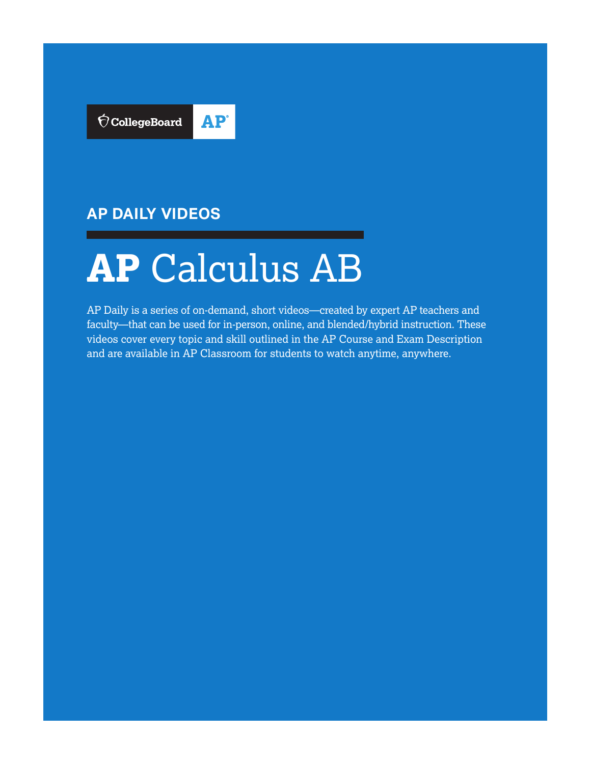

# **AP DAILY VIDEOS**

# **AP** Calculus AB

AP Daily is a series of on-demand, short videos—created by expert AP teachers and faculty—that can be used for in-person, online, and blended/hybrid instruction. These videos cover every topic and skill outlined in the AP Course and Exam Description and are available in AP Classroom for students to watch anytime, anywhere.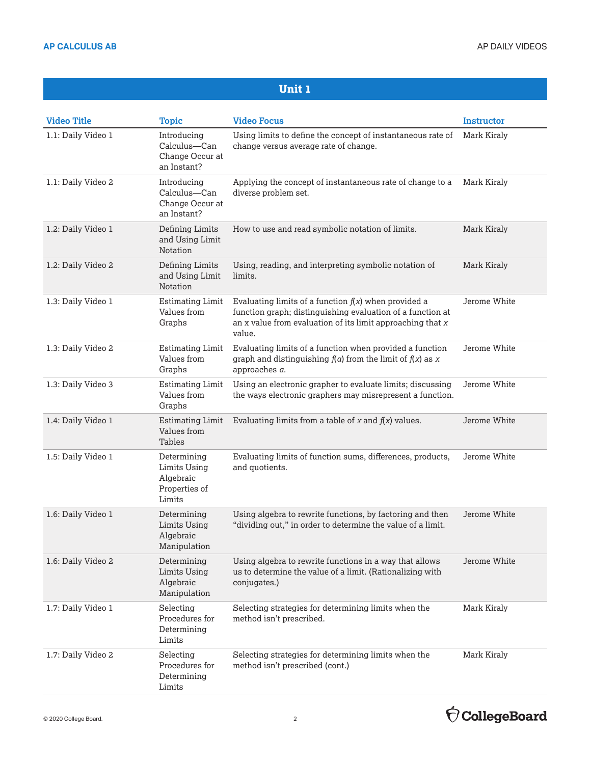| <b>Video Title</b> | <b>Topic</b>                                                        | <b>Video Focus</b>                                                                                                                                                                               | <b>Instructor</b> |
|--------------------|---------------------------------------------------------------------|--------------------------------------------------------------------------------------------------------------------------------------------------------------------------------------------------|-------------------|
| 1.1: Daily Video 1 | Introducing<br>Calculus-Can<br>Change Occur at<br>an Instant?       | Using limits to define the concept of instantaneous rate of<br>change versus average rate of change.                                                                                             | Mark Kiraly       |
| 1.1: Daily Video 2 | Introducing<br>Calculus-Can<br>Change Occur at<br>an Instant?       | Applying the concept of instantaneous rate of change to a<br>diverse problem set.                                                                                                                | Mark Kiraly       |
| 1.2: Daily Video 1 | Defining Limits<br>and Using Limit<br>Notation                      | How to use and read symbolic notation of limits.                                                                                                                                                 | Mark Kiraly       |
| 1.2: Daily Video 2 | Defining Limits<br>and Using Limit<br>Notation                      | Using, reading, and interpreting symbolic notation of<br>limits.                                                                                                                                 | Mark Kiraly       |
| 1.3: Daily Video 1 | <b>Estimating Limit</b><br>Values from<br>Graphs                    | Evaluating limits of a function $f(x)$ when provided a<br>function graph; distinguishing evaluation of a function at<br>an $x$ value from evaluation of its limit approaching that $x$<br>value. | Jerome White      |
| 1.3: Daily Video 2 | <b>Estimating Limit</b><br>Values from<br>Graphs                    | Evaluating limits of a function when provided a function<br>graph and distinguishing $f(a)$ from the limit of $f(x)$ as x<br>approaches a.                                                       | Jerome White      |
| 1.3: Daily Video 3 | <b>Estimating Limit</b><br>Values from<br>Graphs                    | Using an electronic grapher to evaluate limits; discussing<br>the ways electronic graphers may misrepresent a function.                                                                          | Jerome White      |
| 1.4: Daily Video 1 | <b>Estimating Limit</b><br>Values from<br>Tables                    | Evaluating limits from a table of $x$ and $f(x)$ values.                                                                                                                                         | Jerome White      |
| 1.5: Daily Video 1 | Determining<br>Limits Using<br>Algebraic<br>Properties of<br>Limits | Evaluating limits of function sums, differences, products,<br>and quotients.                                                                                                                     | Jerome White      |
| 1.6: Daily Video 1 | Determining<br><b>Limits Using</b><br>Algebraic<br>Manipulation     | Using algebra to rewrite functions, by factoring and then<br>"dividing out," in order to determine the value of a limit.                                                                         | Jerome White      |
| 1.6: Daily Video 2 | Determining<br><b>Limits Using</b><br>Algebraic<br>Manipulation     | Using algebra to rewrite functions in a way that allows<br>us to determine the value of a limit. (Rationalizing with<br>conjugates.)                                                             | Jerome White      |
| 1.7: Daily Video 1 | Selecting<br>Procedures for<br>Determining<br>Limits                | Selecting strategies for determining limits when the<br>method isn't prescribed.                                                                                                                 | Mark Kiraly       |
| 1.7: Daily Video 2 | Selecting<br>Procedures for<br>Determining<br>Limits                | Selecting strategies for determining limits when the<br>method isn't prescribed (cont.)                                                                                                          | Mark Kiraly       |

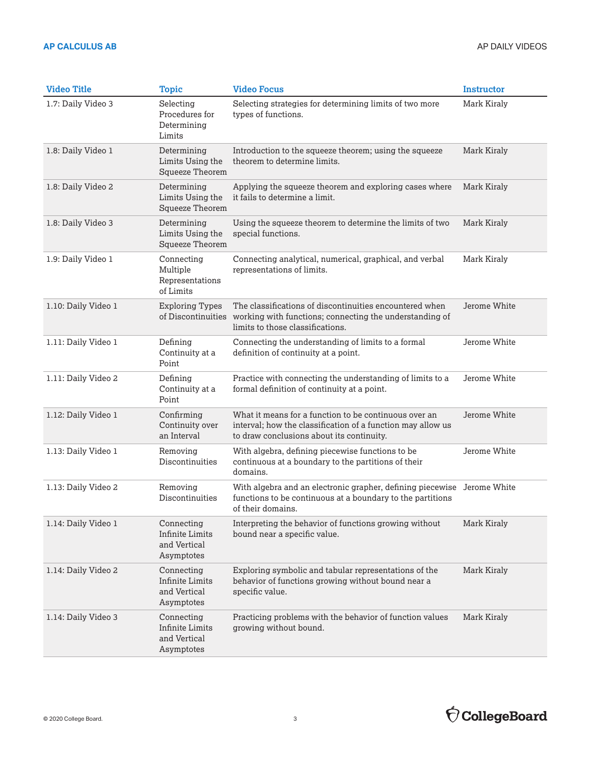| <b>Video Title</b>  | <b>Topic</b>                                                       | <b>Video Focus</b>                                                                                                                                                | <b>Instructor</b> |
|---------------------|--------------------------------------------------------------------|-------------------------------------------------------------------------------------------------------------------------------------------------------------------|-------------------|
| 1.7: Daily Video 3  | Selecting<br>Procedures for<br>Determining<br>Limits               | Selecting strategies for determining limits of two more<br>types of functions.                                                                                    | Mark Kiraly       |
| 1.8: Daily Video 1  | Determining<br>Limits Using the<br>Squeeze Theorem                 | Introduction to the squeeze theorem; using the squeeze<br>theorem to determine limits.                                                                            | Mark Kiraly       |
| 1.8: Daily Video 2  | Determining<br>Limits Using the<br>Squeeze Theorem                 | Applying the squeeze theorem and exploring cases where<br>it fails to determine a limit.                                                                          | Mark Kiraly       |
| 1.8: Daily Video 3  | Determining<br>Limits Using the<br>Squeeze Theorem                 | Using the squeeze theorem to determine the limits of two<br>special functions.                                                                                    | Mark Kiraly       |
| 1.9: Daily Video 1  | Connecting<br>Multiple<br>Representations<br>of Limits             | Connecting analytical, numerical, graphical, and verbal<br>representations of limits.                                                                             | Mark Kiraly       |
| 1.10: Daily Video 1 | <b>Exploring Types</b><br>of Discontinuities                       | The classifications of discontinuities encountered when<br>working with functions; connecting the understanding of<br>limits to those classifications.            | Jerome White      |
| 1.11: Daily Video 1 | Defining<br>Continuity at a<br>Point                               | Connecting the understanding of limits to a formal<br>definition of continuity at a point.                                                                        | Jerome White      |
| 1.11: Daily Video 2 | Defining<br>Continuity at a<br>Point                               | Practice with connecting the understanding of limits to a<br>formal definition of continuity at a point.                                                          | Jerome White      |
| 1.12: Daily Video 1 | Confirming<br>Continuity over<br>an Interval                       | What it means for a function to be continuous over an<br>interval; how the classification of a function may allow us<br>to draw conclusions about its continuity. | Jerome White      |
| 1.13: Daily Video 1 | Removing<br>Discontinuities                                        | With algebra, defining piecewise functions to be<br>continuous at a boundary to the partitions of their<br>domains.                                               | Jerome White      |
| 1.13: Daily Video 2 | Removing<br>Discontinuities                                        | With algebra and an electronic grapher, defining piecewise Jerome White<br>functions to be continuous at a boundary to the partitions<br>of their domains.        |                   |
| 1.14: Daily Video 1 | Connecting<br><b>Infinite Limits</b><br>and Vertical<br>Asymptotes | Interpreting the behavior of functions growing without<br>bound near a specific value.                                                                            | Mark Kiraly       |
| 1.14: Daily Video 2 | Connecting<br><b>Infinite Limits</b><br>and Vertical<br>Asymptotes | Exploring symbolic and tabular representations of the<br>behavior of functions growing without bound near a<br>specific value.                                    | Mark Kiraly       |
| 1.14: Daily Video 3 | Connecting<br><b>Infinite Limits</b><br>and Vertical<br>Asymptotes | Practicing problems with the behavior of function values<br>growing without bound.                                                                                | Mark Kiraly       |

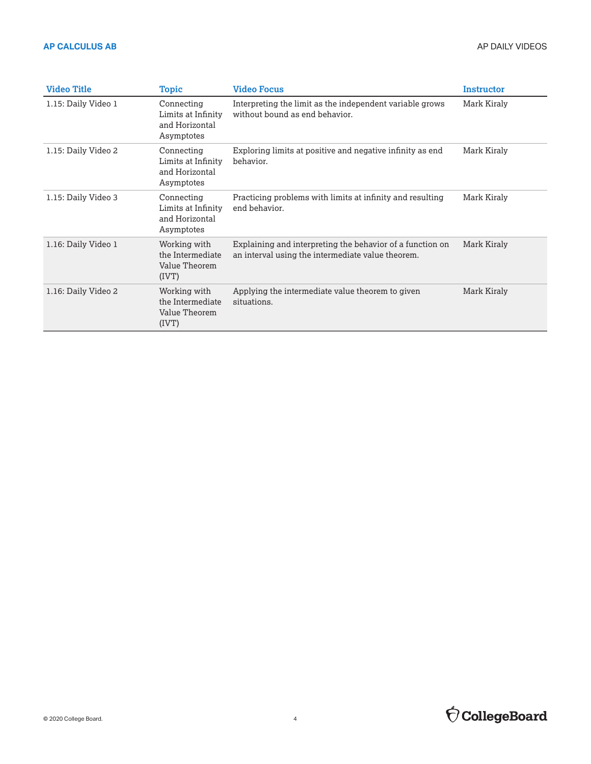| <b>Video Title</b>  | <b>Topic</b>                                                     | <b>Video Focus</b>                                                                                             | Instructor  |
|---------------------|------------------------------------------------------------------|----------------------------------------------------------------------------------------------------------------|-------------|
| 1.15: Daily Video 1 | Connecting<br>Limits at Infinity<br>and Horizontal<br>Asymptotes | Interpreting the limit as the independent variable grows<br>without bound as end behavior.                     | Mark Kiraly |
| 1.15: Daily Video 2 | Connecting<br>Limits at Infinity<br>and Horizontal<br>Asymptotes | Exploring limits at positive and negative infinity as end<br>behavior.                                         | Mark Kiraly |
| 1.15: Daily Video 3 | Connecting<br>Limits at Infinity<br>and Horizontal<br>Asymptotes | Practicing problems with limits at infinity and resulting<br>end behavior.                                     | Mark Kiraly |
| 1.16: Daily Video 1 | Working with<br>the Intermediate<br>Value Theorem<br>(IVT)       | Explaining and interpreting the behavior of a function on<br>an interval using the intermediate value theorem. | Mark Kiraly |
| 1.16: Daily Video 2 | Working with<br>the Intermediate<br>Value Theorem<br>(IVT)       | Applying the intermediate value theorem to given<br>situations.                                                | Mark Kiraly |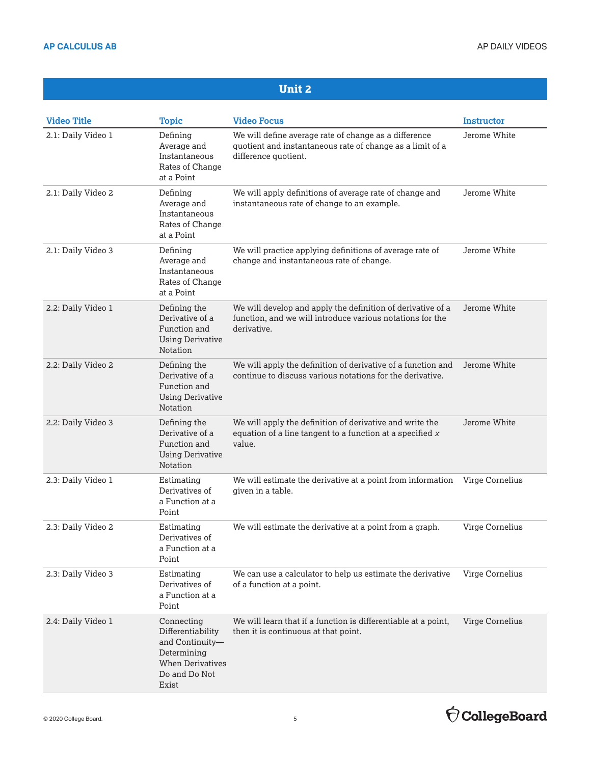| <b>Video Title</b> | <b>Topic</b>                                                                                                           | <b>Video Focus</b>                                                                                                                         | <b>Instructor</b> |
|--------------------|------------------------------------------------------------------------------------------------------------------------|--------------------------------------------------------------------------------------------------------------------------------------------|-------------------|
| 2.1: Daily Video 1 | Defining<br>Average and<br>Instantaneous<br>Rates of Change<br>at a Point                                              | We will define average rate of change as a difference<br>quotient and instantaneous rate of change as a limit of a<br>difference quotient. | Jerome White      |
| 2.1: Daily Video 2 | Defining<br>Average and<br>Instantaneous<br>Rates of Change<br>at a Point                                              | We will apply definitions of average rate of change and<br>instantaneous rate of change to an example.                                     | Jerome White      |
| 2.1: Daily Video 3 | Defining<br>Average and<br>Instantaneous<br>Rates of Change<br>at a Point                                              | We will practice applying definitions of average rate of<br>change and instantaneous rate of change.                                       | Jerome White      |
| 2.2: Daily Video 1 | Defining the<br>Derivative of a<br>Function and<br><b>Using Derivative</b><br>Notation                                 | We will develop and apply the definition of derivative of a<br>function, and we will introduce various notations for the<br>derivative.    | Jerome White      |
| 2.2: Daily Video 2 | Defining the<br>Derivative of a<br>Function and<br><b>Using Derivative</b><br>Notation                                 | We will apply the definition of derivative of a function and<br>continue to discuss various notations for the derivative.                  | Jerome White      |
| 2.2: Daily Video 3 | Defining the<br>Derivative of a<br>Function and<br><b>Using Derivative</b><br>Notation                                 | We will apply the definition of derivative and write the<br>equation of a line tangent to a function at a specified $x$<br>value.          | Jerome White      |
| 2.3: Daily Video 1 | Estimating<br>Derivatives of<br>a Function at a<br>Point                                                               | We will estimate the derivative at a point from information<br>given in a table.                                                           | Virge Cornelius   |
| 2.3: Daily Video 2 | Estimating<br>Derivatives of<br>a Function at a<br>Point                                                               | We will estimate the derivative at a point from a graph.                                                                                   | Virge Cornelius   |
| 2.3: Daily Video 3 | Estimating<br>Derivatives of<br>a Function at a<br>Point                                                               | We can use a calculator to help us estimate the derivative<br>of a function at a point.                                                    | Virge Cornelius   |
| 2.4: Daily Video 1 | Connecting<br>Differentiability<br>and Continuity-<br>Determining<br><b>When Derivatives</b><br>Do and Do Not<br>Exist | We will learn that if a function is differentiable at a point,<br>then it is continuous at that point.                                     | Virge Cornelius   |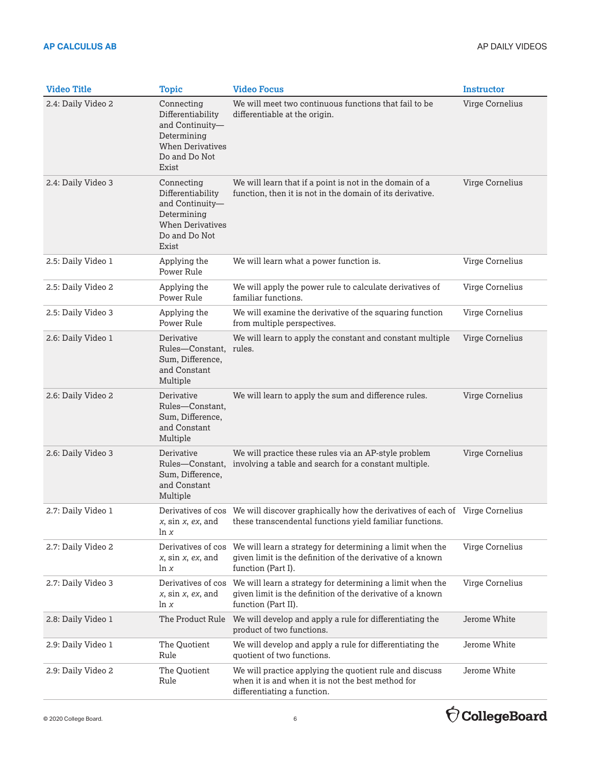| <b>Video Title</b> | <b>Topic</b>                                                                                                           | <b>Video Focus</b>                                                                                                                                         | <b>Instructor</b> |
|--------------------|------------------------------------------------------------------------------------------------------------------------|------------------------------------------------------------------------------------------------------------------------------------------------------------|-------------------|
| 2.4: Daily Video 2 | Connecting<br>Differentiability<br>and Continuity-<br>Determining<br><b>When Derivatives</b><br>Do and Do Not<br>Exist | We will meet two continuous functions that fail to be<br>differentiable at the origin.                                                                     | Virge Cornelius   |
| 2.4: Daily Video 3 | Connecting<br>Differentiability<br>and Continuity-<br>Determining<br><b>When Derivatives</b><br>Do and Do Not<br>Exist | We will learn that if a point is not in the domain of a<br>function, then it is not in the domain of its derivative.                                       | Virge Cornelius   |
| 2.5: Daily Video 1 | Applying the<br>Power Rule                                                                                             | We will learn what a power function is.                                                                                                                    | Virge Cornelius   |
| 2.5: Daily Video 2 | Applying the<br>Power Rule                                                                                             | We will apply the power rule to calculate derivatives of<br>familiar functions.                                                                            | Virge Cornelius   |
| 2.5: Daily Video 3 | Applying the<br>Power Rule                                                                                             | We will examine the derivative of the squaring function<br>from multiple perspectives.                                                                     | Virge Cornelius   |
| 2.6: Daily Video 1 | Derivative<br>Rules-Constant.<br>Sum, Difference,<br>and Constant<br>Multiple                                          | We will learn to apply the constant and constant multiple<br>rules.                                                                                        | Virge Cornelius   |
| 2.6: Daily Video 2 | Derivative<br>Rules-Constant,<br>Sum, Difference,<br>and Constant<br>Multiple                                          | We will learn to apply the sum and difference rules.                                                                                                       | Virge Cornelius   |
| 2.6: Daily Video 3 | Derivative<br>Rules-Constant,<br>Sum, Difference,<br>and Constant<br>Multiple                                          | We will practice these rules via an AP-style problem<br>involving a table and search for a constant multiple.                                              | Virge Cornelius   |
| 2.7: Daily Video 1 | $x$ , sin $x$ , ex, and<br>ln x                                                                                        | Derivatives of cos We will discover graphically how the derivatives of each of Virge Cornelius<br>these transcendental functions yield familiar functions. |                   |
| 2.7: Daily Video 2 | Derivatives of cos<br>$x$ , sin $x$ , $ex$ , and<br>ln x                                                               | We will learn a strategy for determining a limit when the<br>given limit is the definition of the derivative of a known<br>function (Part I).              | Virge Cornelius   |
| 2.7: Daily Video 3 | Derivatives of cos<br>$x$ , sin $x$ , $ex$ , and<br>ln x                                                               | We will learn a strategy for determining a limit when the<br>given limit is the definition of the derivative of a known<br>function (Part II).             | Virge Cornelius   |
| 2.8: Daily Video 1 | The Product Rule                                                                                                       | We will develop and apply a rule for differentiating the<br>product of two functions.                                                                      | Jerome White      |
| 2.9: Daily Video 1 | The Quotient<br>Rule                                                                                                   | We will develop and apply a rule for differentiating the<br>quotient of two functions.                                                                     | Jerome White      |
| 2.9: Daily Video 2 | The Quotient<br>Rule                                                                                                   | We will practice applying the quotient rule and discuss<br>when it is and when it is not the best method for<br>differentiating a function.                | Jerome White      |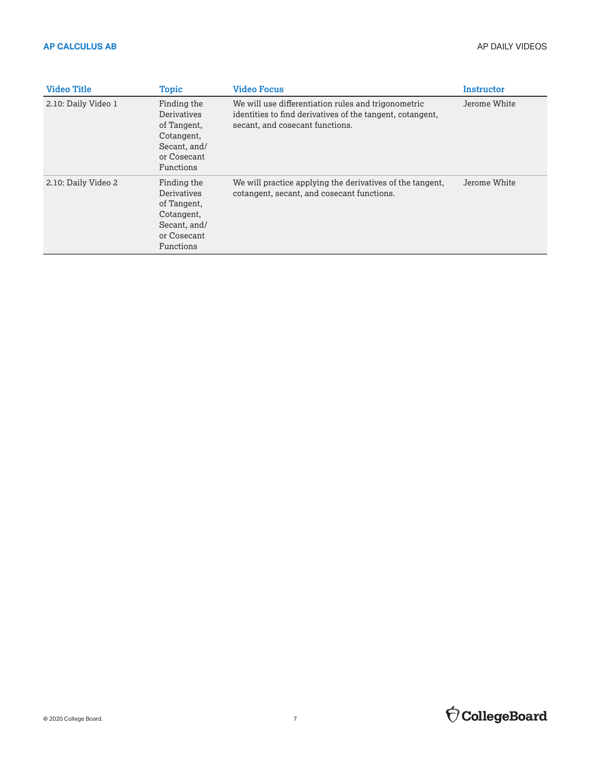| <b>Video Title</b>  | <b>Topic</b>                                                                                        | <b>Video Focus</b>                                                                                                                                  | Instructor   |
|---------------------|-----------------------------------------------------------------------------------------------------|-----------------------------------------------------------------------------------------------------------------------------------------------------|--------------|
| 2.10: Daily Video 1 | Finding the<br>Derivatives<br>of Tangent,<br>Cotangent,<br>Secant, and/<br>or Cosecant<br>Functions | We will use differentiation rules and trigonometric<br>identities to find derivatives of the tangent, cotangent,<br>secant, and cosecant functions. | Jerome White |
| 2.10: Daily Video 2 | Finding the<br>Derivatives<br>of Tangent,<br>Cotangent,<br>Secant, and/<br>or Cosecant<br>Functions | We will practice applying the derivatives of the tangent,<br>cotangent, secant, and cosecant functions.                                             | Jerome White |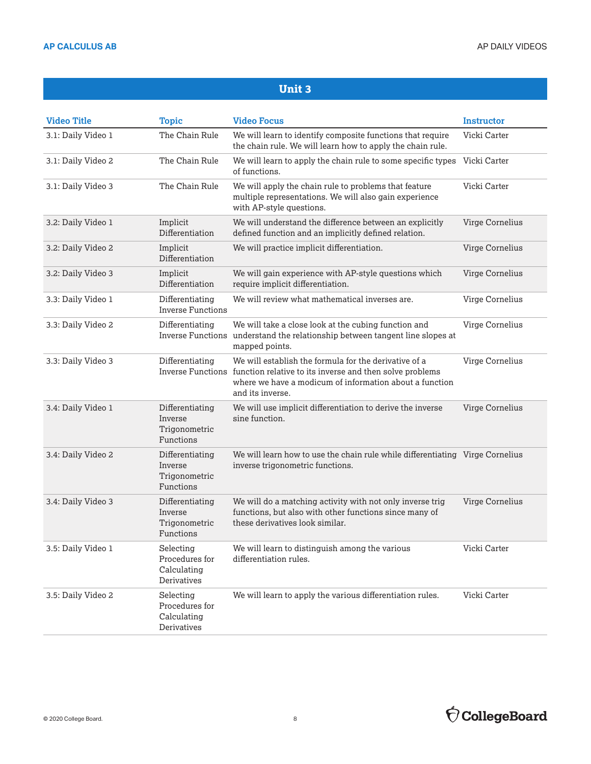| <b>Video Title</b> | <b>Topic</b>                                              | <b>Video Focus</b>                                                                                                                                                                                                 | <b>Instructor</b> |
|--------------------|-----------------------------------------------------------|--------------------------------------------------------------------------------------------------------------------------------------------------------------------------------------------------------------------|-------------------|
| 3.1: Daily Video 1 | The Chain Rule                                            | We will learn to identify composite functions that require<br>the chain rule. We will learn how to apply the chain rule.                                                                                           | Vicki Carter      |
| 3.1: Daily Video 2 | The Chain Rule                                            | We will learn to apply the chain rule to some specific types<br>of functions.                                                                                                                                      | Vicki Carter      |
| 3.1: Daily Video 3 | The Chain Rule                                            | We will apply the chain rule to problems that feature<br>multiple representations. We will also gain experience<br>with AP-style questions.                                                                        | Vicki Carter      |
| 3.2: Daily Video 1 | Implicit<br>Differentiation                               | We will understand the difference between an explicitly<br>defined function and an implicitly defined relation.                                                                                                    | Virge Cornelius   |
| 3.2: Daily Video 2 | Implicit<br>Differentiation                               | We will practice implicit differentiation.                                                                                                                                                                         | Virge Cornelius   |
| 3.2: Daily Video 3 | Implicit<br>Differentiation                               | We will gain experience with AP-style questions which<br>require implicit differentiation.                                                                                                                         | Virge Cornelius   |
| 3.3: Daily Video 1 | Differentiating<br><b>Inverse Functions</b>               | We will review what mathematical inverses are.                                                                                                                                                                     | Virge Cornelius   |
| 3.3: Daily Video 2 | Differentiating                                           | We will take a close look at the cubing function and<br>Inverse Functions understand the relationship between tangent line slopes at<br>mapped points.                                                             | Virge Cornelius   |
| 3.3: Daily Video 3 | Differentiating                                           | We will establish the formula for the derivative of a<br>Inverse Functions function relative to its inverse and then solve problems<br>where we have a modicum of information about a function<br>and its inverse. | Virge Cornelius   |
| 3.4: Daily Video 1 | Differentiating<br>Inverse<br>Trigonometric<br>Functions  | We will use implicit differentiation to derive the inverse<br>sine function.                                                                                                                                       | Virge Cornelius   |
| 3.4: Daily Video 2 | Differentiating<br>Inverse<br>Trigonometric<br>Functions  | We will learn how to use the chain rule while differentiating Virge Cornelius<br>inverse trigonometric functions.                                                                                                  |                   |
| 3.4: Daily Video 3 | Differentiating<br>Inverse<br>Trigonometric<br>Functions  | We will do a matching activity with not only inverse trig<br>functions, but also with other functions since many of<br>these derivatives look similar.                                                             | Virge Cornelius   |
| 3.5: Daily Video 1 | Selecting<br>Procedures for<br>Calculating<br>Derivatives | We will learn to distinguish among the various<br>differentiation rules.                                                                                                                                           | Vicki Carter      |
| 3.5: Daily Video 2 | Selecting<br>Procedures for<br>Calculating<br>Derivatives | We will learn to apply the various differentiation rules.                                                                                                                                                          | Vicki Carter      |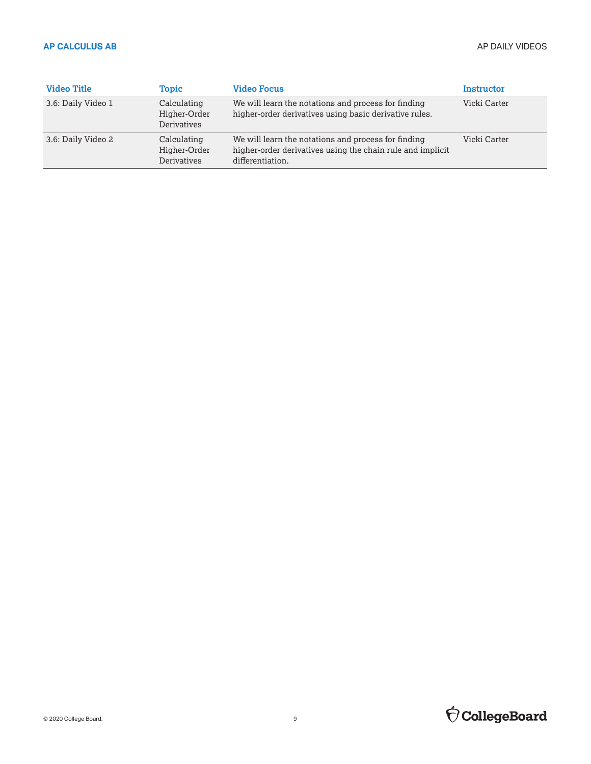| <b>Video Title</b> | Topic                                      | <b>Video Focus</b>                                                                                                                    | Instructor   |
|--------------------|--------------------------------------------|---------------------------------------------------------------------------------------------------------------------------------------|--------------|
| 3.6: Daily Video 1 | Calculating<br>Higher-Order<br>Derivatives | We will learn the notations and process for finding<br>higher-order derivatives using basic derivative rules.                         | Vicki Carter |
| 3.6: Daily Video 2 | Calculating<br>Higher-Order<br>Derivatives | We will learn the notations and process for finding<br>higher-order derivatives using the chain rule and implicit<br>differentiation. | Vicki Carter |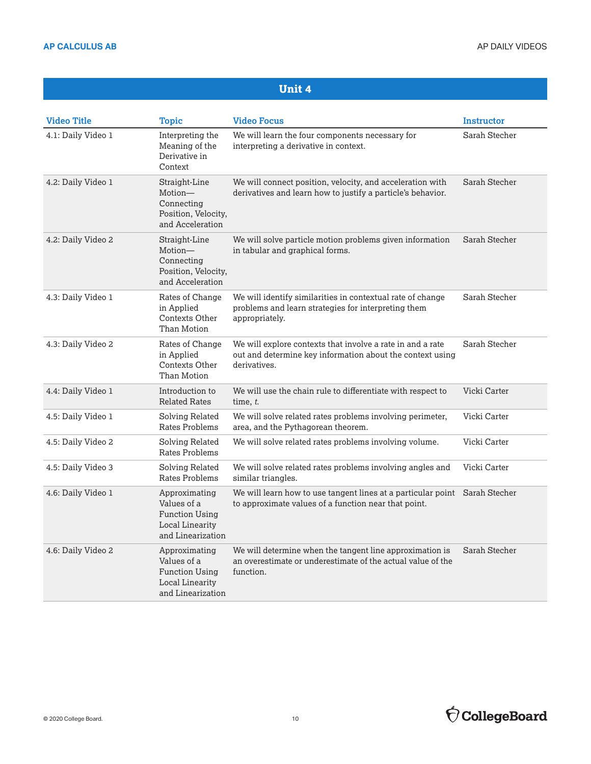| <b>Video Title</b> | <b>Topic</b>                                                                                         | <b>Video Focus</b>                                                                                                                      | <b>Instructor</b> |
|--------------------|------------------------------------------------------------------------------------------------------|-----------------------------------------------------------------------------------------------------------------------------------------|-------------------|
| 4.1: Daily Video 1 | Interpreting the<br>Meaning of the<br>Derivative in<br>Context                                       | We will learn the four components necessary for<br>interpreting a derivative in context.                                                | Sarah Stecher     |
| 4.2: Daily Video 1 | Straight-Line<br>Motion-<br>Connecting<br>Position, Velocity,<br>and Acceleration                    | We will connect position, velocity, and acceleration with<br>derivatives and learn how to justify a particle's behavior.                | Sarah Stecher     |
| 4.2: Daily Video 2 | Straight-Line<br>Motion-<br>Connecting<br>Position, Velocity,<br>and Acceleration                    | We will solve particle motion problems given information<br>in tabular and graphical forms.                                             | Sarah Stecher     |
| 4.3: Daily Video 1 | Rates of Change<br>in Applied<br>Contexts Other<br>Than Motion                                       | We will identify similarities in contextual rate of change<br>problems and learn strategies for interpreting them<br>appropriately.     | Sarah Stecher     |
| 4.3: Daily Video 2 | Rates of Change<br>in Applied<br>Contexts Other<br>Than Motion                                       | We will explore contexts that involve a rate in and a rate<br>out and determine key information about the context using<br>derivatives. | Sarah Stecher     |
| 4.4: Daily Video 1 | Introduction to<br><b>Related Rates</b>                                                              | We will use the chain rule to differentiate with respect to<br>time, $t$ .                                                              | Vicki Carter      |
| 4.5: Daily Video 1 | Solving Related<br>Rates Problems                                                                    | We will solve related rates problems involving perimeter,<br>area, and the Pythagorean theorem.                                         | Vicki Carter      |
| 4.5: Daily Video 2 | Solving Related<br>Rates Problems                                                                    | We will solve related rates problems involving volume.                                                                                  | Vicki Carter      |
| 4.5: Daily Video 3 | Solving Related<br>Rates Problems                                                                    | We will solve related rates problems involving angles and<br>similar triangles.                                                         | Vicki Carter      |
| 4.6: Daily Video 1 | Approximating<br>Values of a<br><b>Function Using</b><br><b>Local Linearity</b><br>and Linearization | We will learn how to use tangent lines at a particular point Sarah Stecher<br>to approximate values of a function near that point.      |                   |
| 4.6: Daily Video 2 | Approximating<br>Values of a<br><b>Function Using</b><br>Local Linearity<br>and Linearization        | We will determine when the tangent line approximation is<br>an overestimate or underestimate of the actual value of the<br>function.    | Sarah Stecher     |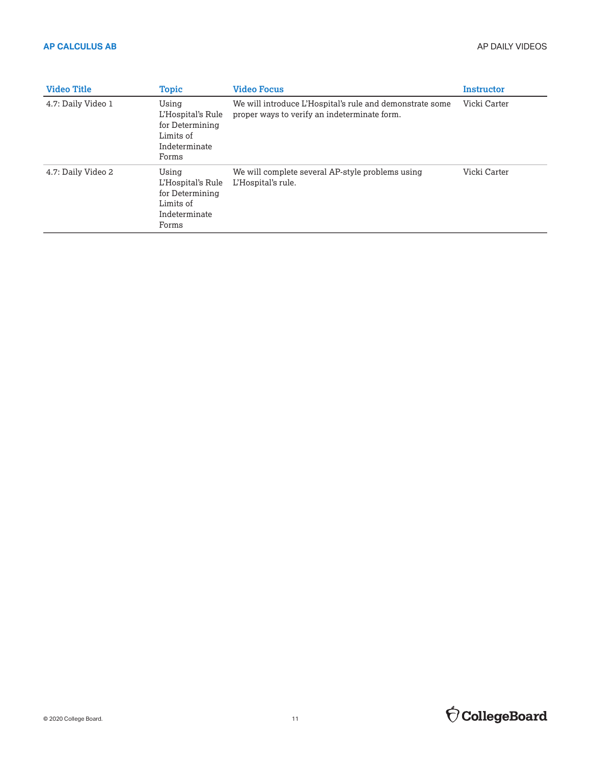| <b>Video Title</b> | <b>Topic</b>                                                                         | <b>Video Focus</b>                                                                                       | Instructor   |
|--------------------|--------------------------------------------------------------------------------------|----------------------------------------------------------------------------------------------------------|--------------|
| 4.7: Daily Video 1 | Using<br>L'Hospital's Rule<br>for Determining<br>Limits of<br>Indeterminate<br>Forms | We will introduce L'Hospital's rule and demonstrate some<br>proper ways to verify an indeterminate form. | Vicki Carter |
| 4.7: Daily Video 2 | Using<br>L'Hospital's Rule<br>for Determining<br>Limits of<br>Indeterminate<br>Forms | We will complete several AP-style problems using<br>L'Hospital's rule.                                   | Vicki Carter |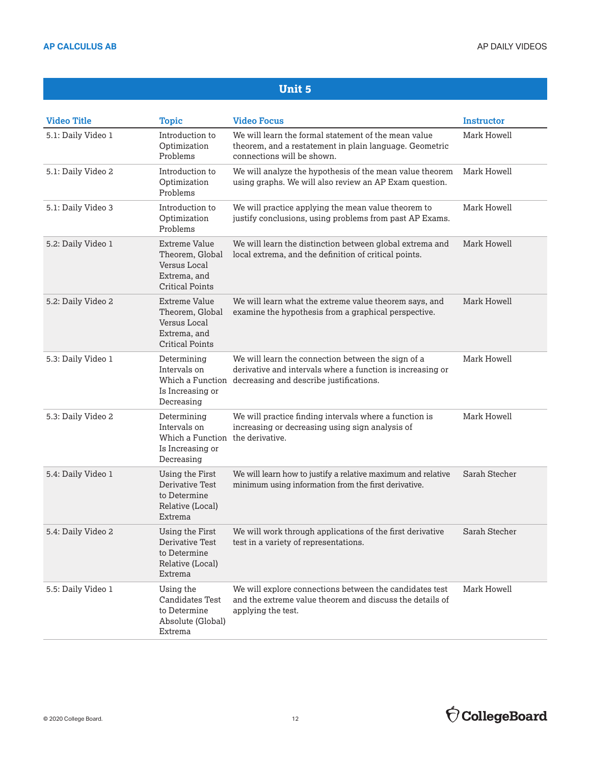| <b>Video Title</b> | <b>Topic</b>                                                                                      | <b>Video Focus</b>                                                                                                                                                           | <b>Instructor</b> |
|--------------------|---------------------------------------------------------------------------------------------------|------------------------------------------------------------------------------------------------------------------------------------------------------------------------------|-------------------|
| 5.1: Daily Video 1 | Introduction to<br>Optimization<br>Problems                                                       | We will learn the formal statement of the mean value<br>theorem, and a restatement in plain language. Geometric<br>connections will be shown.                                | Mark Howell       |
| 5.1: Daily Video 2 | Introduction to<br>Optimization<br>Problems                                                       | We will analyze the hypothesis of the mean value theorem<br>using graphs. We will also review an AP Exam question.                                                           | Mark Howell       |
| 5.1: Daily Video 3 | Introduction to<br>Optimization<br>Problems                                                       | We will practice applying the mean value theorem to<br>justify conclusions, using problems from past AP Exams.                                                               | Mark Howell       |
| 5.2: Daily Video 1 | Extreme Value<br>Theorem, Global<br>Versus Local<br>Extrema, and<br><b>Critical Points</b>        | We will learn the distinction between global extrema and<br>local extrema, and the definition of critical points.                                                            | Mark Howell       |
| 5.2: Daily Video 2 | Extreme Value<br>Theorem, Global<br>Versus Local<br>Extrema, and<br><b>Critical Points</b>        | We will learn what the extreme value theorem says, and<br>examine the hypothesis from a graphical perspective.                                                               | Mark Howell       |
| 5.3: Daily Video 1 | Determining<br>Intervals on<br>Is Increasing or<br>Decreasing                                     | We will learn the connection between the sign of a<br>derivative and intervals where a function is increasing or<br>Which a Function decreasing and describe justifications. | Mark Howell       |
| 5.3: Daily Video 2 | Determining<br>Intervals on<br>Which a Function the derivative.<br>Is Increasing or<br>Decreasing | We will practice finding intervals where a function is<br>increasing or decreasing using sign analysis of                                                                    | Mark Howell       |
| 5.4: Daily Video 1 | Using the First<br>Derivative Test<br>to Determine<br>Relative (Local)<br>Extrema                 | We will learn how to justify a relative maximum and relative<br>minimum using information from the first derivative.                                                         | Sarah Stecher     |
| 5.4: Daily Video 2 | Using the First<br>Derivative Test<br>to Determine<br>Relative (Local)<br>Extrema                 | We will work through applications of the first derivative<br>test in a variety of representations.                                                                           | Sarah Stecher     |
| 5.5: Daily Video 1 | Using the<br><b>Candidates Test</b><br>to Determine<br>Absolute (Global)<br>Extrema               | We will explore connections between the candidates test<br>and the extreme value theorem and discuss the details of<br>applying the test.                                    | Mark Howell       |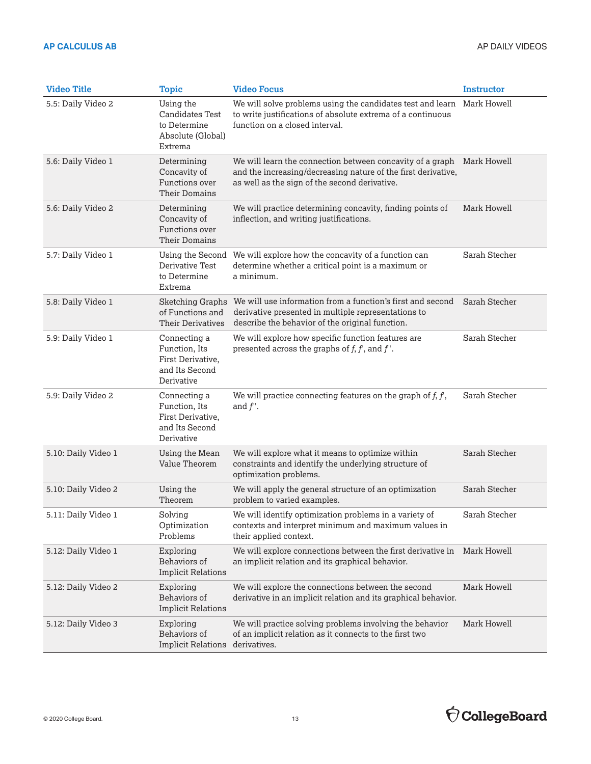| <b>Video Title</b>  | <b>Topic</b>                                                                        | <b>Video Focus</b>                                                                                                                                                                      | <b>Instructor</b> |
|---------------------|-------------------------------------------------------------------------------------|-----------------------------------------------------------------------------------------------------------------------------------------------------------------------------------------|-------------------|
| 5.5: Daily Video 2  | Using the<br><b>Candidates Test</b><br>to Determine<br>Absolute (Global)<br>Extrema | We will solve problems using the candidates test and learn<br>to write justifications of absolute extrema of a continuous<br>function on a closed interval.                             | Mark Howell       |
| 5.6: Daily Video 1  | Determining<br>Concavity of<br>Functions over<br>Their Domains                      | We will learn the connection between concavity of a graph Mark Howell<br>and the increasing/decreasing nature of the first derivative,<br>as well as the sign of the second derivative. |                   |
| 5.6: Daily Video 2  | Determining<br>Concavity of<br>Functions over<br>Their Domains                      | We will practice determining concavity, finding points of<br>inflection, and writing justifications.                                                                                    | Mark Howell       |
| 5.7: Daily Video 1  | Using the Second<br>Derivative Test<br>to Determine<br>Extrema                      | We will explore how the concavity of a function can<br>determine whether a critical point is a maximum or<br>a minimum.                                                                 | Sarah Stecher     |
| 5.8: Daily Video 1  | Sketching Graphs<br>of Functions and<br><b>Their Derivatives</b>                    | We will use information from a function's first and second<br>derivative presented in multiple representations to<br>describe the behavior of the original function.                    | Sarah Stecher     |
| 5.9: Daily Video 1  | Connecting a<br>Function, Its<br>First Derivative,<br>and Its Second<br>Derivative  | We will explore how specific function features are<br>presented across the graphs of $f, f$ , and $f'$ .                                                                                | Sarah Stecher     |
| 5.9: Daily Video 2  | Connecting a<br>Function, Its<br>First Derivative,<br>and Its Second<br>Derivative  | We will practice connecting features on the graph of $f, f$ ,<br>and $f'$ .                                                                                                             | Sarah Stecher     |
| 5.10: Daily Video 1 | Using the Mean<br>Value Theorem                                                     | We will explore what it means to optimize within<br>constraints and identify the underlying structure of<br>optimization problems.                                                      | Sarah Stecher     |
| 5.10: Daily Video 2 | Using the<br>Theorem                                                                | We will apply the general structure of an optimization<br>problem to varied examples.                                                                                                   | Sarah Stecher     |
| 5.11: Daily Video 1 | Solving<br>Optimization<br>Problems                                                 | We will identify optimization problems in a variety of<br>contexts and interpret minimum and maximum values in<br>their applied context.                                                | Sarah Stecher     |
| 5.12: Daily Video 1 | Exploring<br>Behaviors of<br><b>Implicit Relations</b>                              | We will explore connections between the first derivative in<br>an implicit relation and its graphical behavior.                                                                         | Mark Howell       |
| 5.12: Daily Video 2 | Exploring<br>Behaviors of<br><b>Implicit Relations</b>                              | We will explore the connections between the second<br>derivative in an implicit relation and its graphical behavior.                                                                    | Mark Howell       |
| 5.12: Daily Video 3 | Exploring<br>Behaviors of<br><b>Implicit Relations</b>                              | We will practice solving problems involving the behavior<br>of an implicit relation as it connects to the first two<br>derivatives.                                                     | Mark Howell       |

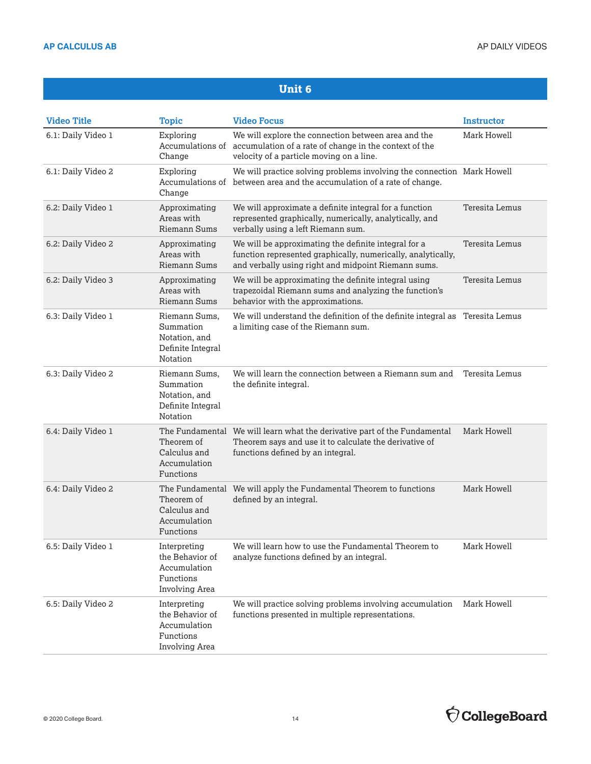| <b>Video Title</b> | <b>Topic</b>                                                                   | <b>Video Focus</b>                                                                                                                                                          | <b>Instructor</b>     |
|--------------------|--------------------------------------------------------------------------------|-----------------------------------------------------------------------------------------------------------------------------------------------------------------------------|-----------------------|
| 6.1: Daily Video 1 | Exploring<br>Change                                                            | We will explore the connection between area and the<br>Accumulations of accumulation of a rate of change in the context of the<br>velocity of a particle moving on a line.  | Mark Howell           |
| 6.1: Daily Video 2 | Exploring<br>Change                                                            | We will practice solving problems involving the connection Mark Howell<br>Accumulations of between area and the accumulation of a rate of change.                           |                       |
| 6.2: Daily Video 1 | Approximating<br>Areas with<br><b>Riemann Sums</b>                             | We will approximate a definite integral for a function<br>represented graphically, numerically, analytically, and<br>verbally using a left Riemann sum.                     | <b>Teresita Lemus</b> |
| 6.2: Daily Video 2 | Approximating<br>Areas with<br><b>Riemann Sums</b>                             | We will be approximating the definite integral for a<br>function represented graphically, numerically, analytically,<br>and verbally using right and midpoint Riemann sums. | Teresita Lemus        |
| 6.2: Daily Video 3 | Approximating<br>Areas with<br>Riemann Sums                                    | We will be approximating the definite integral using<br>trapezoidal Riemann sums and analyzing the function's<br>behavior with the approximations.                          | Teresita Lemus        |
| 6.3: Daily Video 1 | Riemann Sums,<br>Summation<br>Notation, and<br>Definite Integral<br>Notation   | We will understand the definition of the definite integral as Teresita Lemus<br>a limiting case of the Riemann sum.                                                         |                       |
| 6.3: Daily Video 2 | Riemann Sums,<br>Summation<br>Notation, and<br>Definite Integral<br>Notation   | We will learn the connection between a Riemann sum and<br>the definite integral.                                                                                            | Teresita Lemus        |
| 6.4: Daily Video 1 | Theorem of<br>Calculus and<br>Accumulation<br>Functions                        | The Fundamental We will learn what the derivative part of the Fundamental<br>Theorem says and use it to calculate the derivative of<br>functions defined by an integral.    | Mark Howell           |
| 6.4: Daily Video 2 | Theorem of<br>Calculus and<br>Accumulation<br>Functions                        | The Fundamental We will apply the Fundamental Theorem to functions<br>defined by an integral.                                                                               | Mark Howell           |
| 6.5: Daily Video 1 | Interpreting<br>the Behavior of<br>Accumulation<br>Functions<br>Involving Area | We will learn how to use the Fundamental Theorem to<br>analyze functions defined by an integral.                                                                            | Mark Howell           |
| 6.5: Daily Video 2 | Interpreting<br>the Behavior of<br>Accumulation<br>Functions<br>Involving Area | We will practice solving problems involving accumulation<br>functions presented in multiple representations.                                                                | Mark Howell           |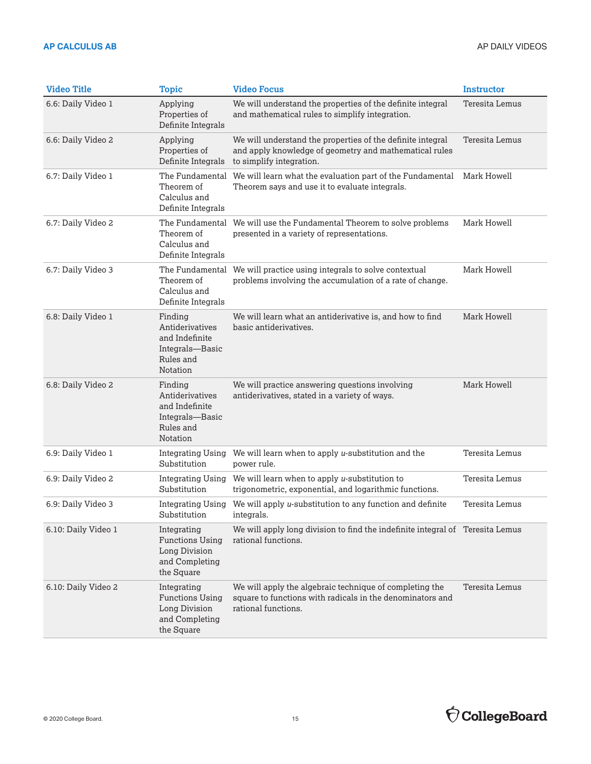| <b>Video Title</b>  | <b>Topic</b>                                                                                  | <b>Video Focus</b>                                                                                                                               | <b>Instructor</b> |
|---------------------|-----------------------------------------------------------------------------------------------|--------------------------------------------------------------------------------------------------------------------------------------------------|-------------------|
| 6.6: Daily Video 1  | Applying<br>Properties of<br>Definite Integrals                                               | We will understand the properties of the definite integral<br>and mathematical rules to simplify integration.                                    | Teresita Lemus    |
| 6.6: Daily Video 2  | Applying<br>Properties of<br>Definite Integrals                                               | We will understand the properties of the definite integral<br>and apply knowledge of geometry and mathematical rules<br>to simplify integration. | Teresita Lemus    |
| 6.7: Daily Video 1  | The Fundamental<br>Theorem of<br>Calculus and<br>Definite Integrals                           | We will learn what the evaluation part of the Fundamental<br>Theorem says and use it to evaluate integrals.                                      | Mark Howell       |
| 6.7: Daily Video 2  | Theorem of<br>Calculus and<br>Definite Integrals                                              | The Fundamental We will use the Fundamental Theorem to solve problems<br>presented in a variety of representations.                              | Mark Howell       |
| 6.7: Daily Video 3  | Theorem of<br>Calculus and<br>Definite Integrals                                              | The Fundamental We will practice using integrals to solve contextual<br>problems involving the accumulation of a rate of change.                 | Mark Howell       |
| 6.8: Daily Video 1  | Finding<br>Antiderivatives<br>and Indefinite<br>Integrals-Basic<br>Rules and<br>Notation      | We will learn what an antiderivative is, and how to find<br>basic antiderivatives.                                                               | Mark Howell       |
| 6.8: Daily Video 2  | Finding<br>Antiderivatives<br>and Indefinite<br>Integrals-Basic<br>Rules and<br>Notation      | We will practice answering questions involving<br>antiderivatives, stated in a variety of ways.                                                  | Mark Howell       |
| 6.9: Daily Video 1  | <b>Integrating Using</b><br>Substitution                                                      | We will learn when to apply $u$ -substitution and the<br>power rule.                                                                             | Teresita Lemus    |
| 6.9: Daily Video 2  | Integrating Using<br>Substitution                                                             | We will learn when to apply $u$ -substitution to<br>trigonometric, exponential, and logarithmic functions.                                       | Teresita Lemus    |
| 6.9: Daily Video 3  | <b>Integrating Using</b><br>Substitution                                                      | We will apply u-substitution to any function and definite<br>integrals.                                                                          | Teresita Lemus    |
| 6.10: Daily Video 1 | Integrating<br><b>Functions Using</b><br><b>Long Division</b><br>and Completing<br>the Square | We will apply long division to find the indefinite integral of Teresita Lemus<br>rational functions.                                             |                   |
| 6.10: Daily Video 2 | Integrating<br><b>Functions Using</b><br><b>Long Division</b><br>and Completing<br>the Square | We will apply the algebraic technique of completing the<br>square to functions with radicals in the denominators and<br>rational functions.      | Teresita Lemus    |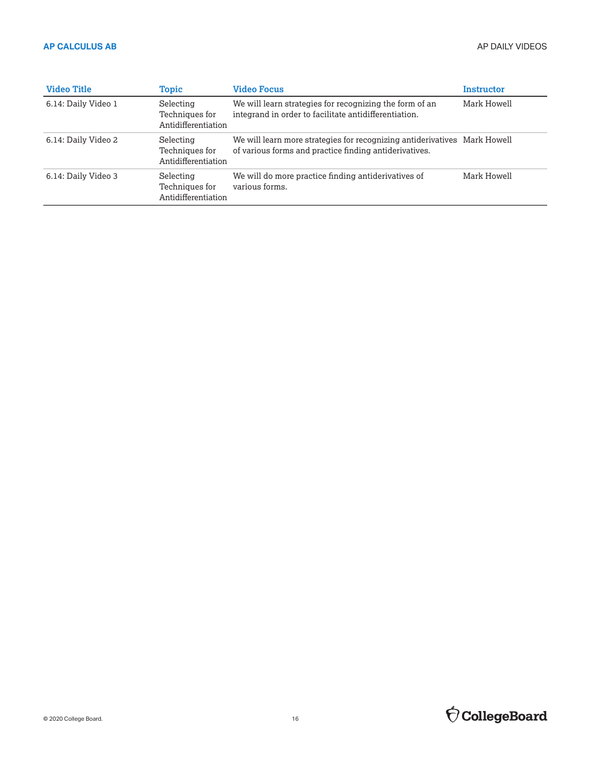| <b>Video Title</b>  | <b>Topic</b>                                       | <b>Video Focus</b>                                                                                                                  | Instructor  |
|---------------------|----------------------------------------------------|-------------------------------------------------------------------------------------------------------------------------------------|-------------|
| 6.14: Daily Video 1 | Selecting<br>Techniques for<br>Antidifferentiation | We will learn strategies for recognizing the form of an<br>integrand in order to facilitate antidifferentiation.                    | Mark Howell |
| 6.14: Daily Video 2 | Selecting<br>Techniques for<br>Antidifferentiation | We will learn more strategies for recognizing antiderivatives Mark Howell<br>of various forms and practice finding antiderivatives. |             |
| 6.14: Daily Video 3 | Selecting<br>Techniques for<br>Antidifferentiation | We will do more practice finding antiderivatives of<br>various forms.                                                               | Mark Howell |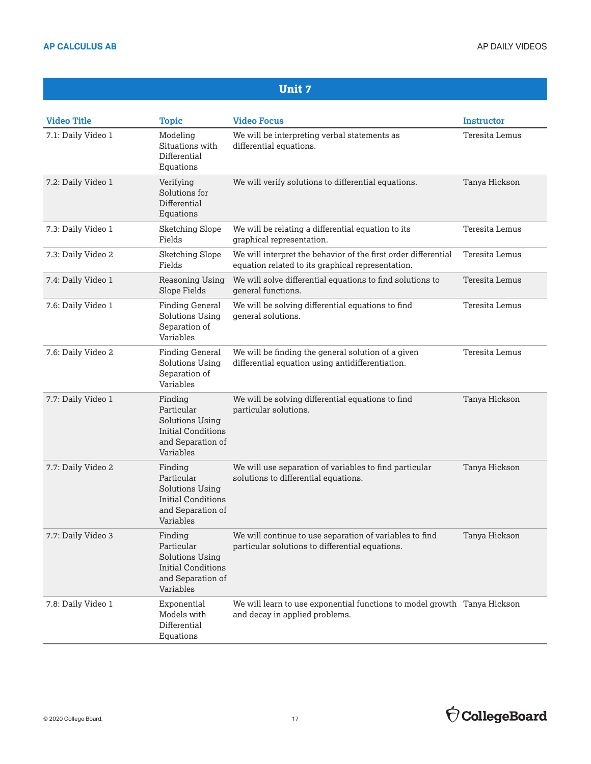| <b>Video Title</b> | <b>Topic</b>                                                                                                   | <b>Video Focus</b>                                                                                                  | <b>Instructor</b>     |
|--------------------|----------------------------------------------------------------------------------------------------------------|---------------------------------------------------------------------------------------------------------------------|-----------------------|
| 7.1: Daily Video 1 | Modeling<br>Situations with<br>Differential<br>Equations                                                       | We will be interpreting verbal statements as<br>differential equations.                                             | <b>Teresita Lemus</b> |
| 7.2: Daily Video 1 | Verifying<br>Solutions for<br>Differential<br>Equations                                                        | We will verify solutions to differential equations.                                                                 | Tanya Hickson         |
| 7.3: Daily Video 1 | <b>Sketching Slope</b><br>Fields                                                                               | We will be relating a differential equation to its<br>graphical representation.                                     | Teresita Lemus        |
| 7.3: Daily Video 2 | <b>Sketching Slope</b><br>Fields                                                                               | We will interpret the behavior of the first order differential<br>equation related to its graphical representation. | Teresita Lemus        |
| 7.4: Daily Video 1 | Reasoning Using<br>Slope Fields                                                                                | We will solve differential equations to find solutions to<br>general functions.                                     | Teresita Lemus        |
| 7.6: Daily Video 1 | <b>Finding General</b><br><b>Solutions Using</b><br>Separation of<br>Variables                                 | We will be solving differential equations to find<br>general solutions.                                             | <b>Teresita Lemus</b> |
| 7.6: Daily Video 2 | <b>Finding General</b><br><b>Solutions Using</b><br>Separation of<br>Variables                                 | We will be finding the general solution of a given<br>differential equation using antidifferentiation.              | <b>Teresita Lemus</b> |
| 7.7: Daily Video 1 | Finding<br>Particular<br><b>Solutions Using</b><br><b>Initial Conditions</b><br>and Separation of<br>Variables | We will be solving differential equations to find<br>particular solutions.                                          | Tanya Hickson         |
| 7.7: Daily Video 2 | Finding<br>Particular<br><b>Solutions Using</b><br>Initial Conditions<br>and Separation of<br>Variables        | We will use separation of variables to find particular<br>solutions to differential equations.                      | Tanya Hickson         |
| 7.7: Daily Video 3 | Finding<br>Particular<br><b>Solutions Using</b><br><b>Initial Conditions</b><br>and Separation of<br>Variables | We will continue to use separation of variables to find<br>particular solutions to differential equations.          | Tanya Hickson         |
| 7.8: Daily Video 1 | Exponential<br>Models with<br>Differential<br>Equations                                                        | We will learn to use exponential functions to model growth Tanya Hickson<br>and decay in applied problems.          |                       |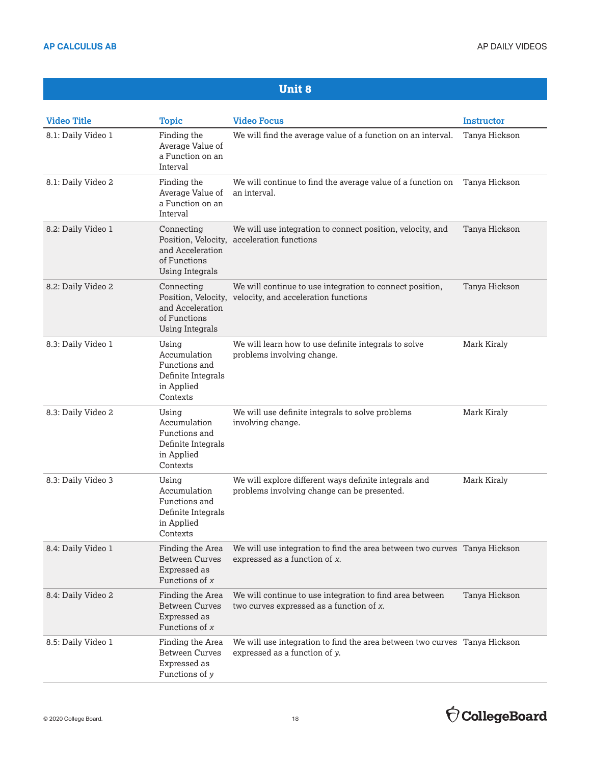| <b>Video Title</b> | <b>Topic</b>                                                                                    | <b>Video Focus</b>                                                                                            | <b>Instructor</b> |
|--------------------|-------------------------------------------------------------------------------------------------|---------------------------------------------------------------------------------------------------------------|-------------------|
| 8.1: Daily Video 1 | Finding the<br>Average Value of<br>a Function on an<br>Interval                                 | We will find the average value of a function on an interval.                                                  | Tanya Hickson     |
| 8.1: Daily Video 2 | Finding the<br>Average Value of<br>a Function on an<br>Interval                                 | We will continue to find the average value of a function on<br>an interval.                                   | Tanya Hickson     |
| 8.2: Daily Video 1 | Connecting<br>Position, Velocity,<br>and Acceleration<br>of Functions<br><b>Using Integrals</b> | We will use integration to connect position, velocity, and<br>acceleration functions                          | Tanya Hickson     |
| 8.2: Daily Video 2 | Connecting<br>Position, Velocity,<br>and Acceleration<br>of Functions<br><b>Using Integrals</b> | We will continue to use integration to connect position,<br>velocity, and acceleration functions              | Tanya Hickson     |
| 8.3: Daily Video 1 | Using<br>Accumulation<br>Functions and<br>Definite Integrals<br>in Applied<br>Contexts          | We will learn how to use definite integrals to solve<br>problems involving change.                            | Mark Kiraly       |
| 8.3: Daily Video 2 | Using<br>Accumulation<br>Functions and<br>Definite Integrals<br>in Applied<br>Contexts          | We will use definite integrals to solve problems<br>involving change.                                         | Mark Kiraly       |
| 8.3: Daily Video 3 | Using<br>Accumulation<br>Functions and<br>Definite Integrals<br>in Applied<br>Contexts          | We will explore different ways definite integrals and<br>problems involving change can be presented.          | Mark Kiraly       |
| 8.4: Daily Video 1 | Finding the Area<br><b>Between Curves</b><br>Expressed as<br>Functions of $x$                   | We will use integration to find the area between two curves Tanya Hickson<br>expressed as a function of $x$ . |                   |
| 8.4: Daily Video 2 | Finding the Area<br><b>Between Curves</b><br>Expressed as<br>Functions of $x$                   | We will continue to use integration to find area between<br>two curves expressed as a function of x.          | Tanya Hickson     |
| 8.5: Daily Video 1 | Finding the Area<br><b>Between Curves</b><br>Expressed as<br>Functions of y                     | We will use integration to find the area between two curves Tanya Hickson<br>expressed as a function of y.    |                   |

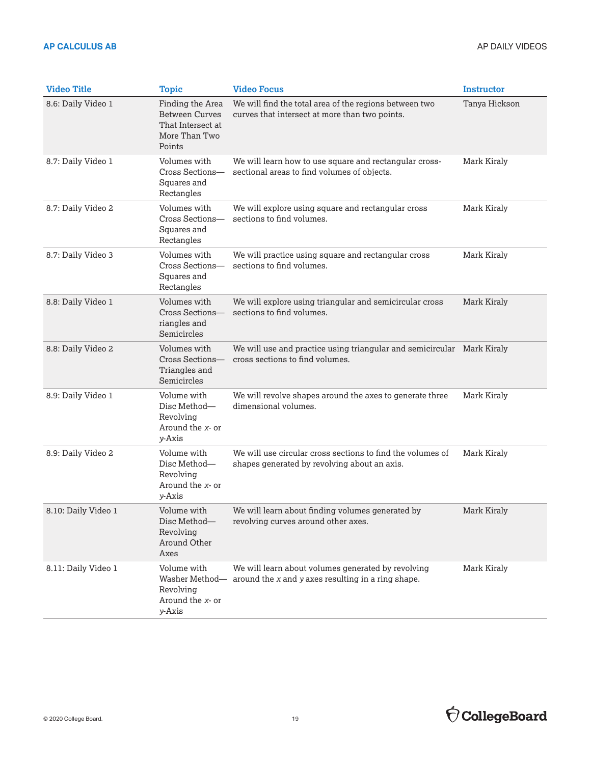| <b>Video Title</b>  | <b>Topic</b>                                                                              | <b>Video Focus</b>                                                                                         | <b>Instructor</b> |
|---------------------|-------------------------------------------------------------------------------------------|------------------------------------------------------------------------------------------------------------|-------------------|
| 8.6: Daily Video 1  | Finding the Area<br><b>Between Curves</b><br>That Intersect at<br>More Than Two<br>Points | We will find the total area of the regions between two<br>curves that intersect at more than two points.   | Tanya Hickson     |
| 8.7: Daily Video 1  | Volumes with<br>Cross Sections-<br>Squares and<br>Rectangles                              | We will learn how to use square and rectangular cross-<br>sectional areas to find volumes of objects.      | Mark Kiraly       |
| 8.7: Daily Video 2  | Volumes with<br>Cross Sections-<br>Squares and<br>Rectangles                              | We will explore using square and rectangular cross<br>sections to find volumes.                            | Mark Kiraly       |
| 8.7: Daily Video 3  | Volumes with<br>Cross Sections-<br>Squares and<br>Rectangles                              | We will practice using square and rectangular cross<br>sections to find volumes.                           | Mark Kiraly       |
| 8.8: Daily Video 1  | Volumes with<br>Cross Sections-<br>riangles and<br>Semicircles                            | We will explore using triangular and semicircular cross<br>sections to find volumes.                       | Mark Kiraly       |
| 8.8: Daily Video 2  | Volumes with<br>Cross Sections-<br>Triangles and<br>Semicircles                           | We will use and practice using triangular and semicircular Mark Kiraly<br>cross sections to find volumes.  |                   |
| 8.9: Daily Video 1  | Volume with<br>Disc Method—<br>Revolving<br>Around the x- or<br>y-Axis                    | We will revolve shapes around the axes to generate three<br>dimensional volumes.                           | Mark Kiraly       |
| 8.9: Daily Video 2  | Volume with<br>Disc Method-<br>Revolving<br>Around the x- or<br>y-Axis                    | We will use circular cross sections to find the volumes of<br>shapes generated by revolving about an axis. | Mark Kiraly       |
| 8.10: Daily Video 1 | Volume with<br>Disc Method-<br>Revolving<br>Around Other<br>Axes                          | We will learn about finding volumes generated by<br>revolving curves around other axes.                    | Mark Kiraly       |
| 8.11: Daily Video 1 | Volume with<br>Washer Method—<br>Revolving<br>Around the x- or<br>y-Axis                  | We will learn about volumes generated by revolving<br>around the x and y axes resulting in a ring shape.   | Mark Kiraly       |